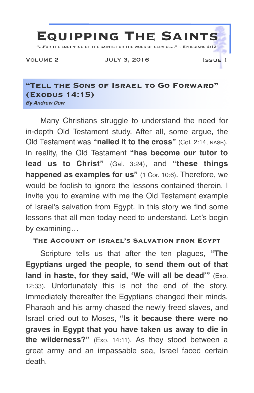

#### **"Tell the Sons of Israel to Go Forward" (Exodus 14:15)** *By Andrew Dow*

Many Christians struggle to understand the need for in-depth Old Testament study. After all, some argue, the Old Testament was **"nailed it to the cross"** (Col. 2:14, NASB). In reality, the Old Testament **"has become our tutor to lead us to Christ"** (Gal. 3:24), and **"these things happened as examples for us"** (1 Cor. 10:6). Therefore, we would be foolish to ignore the lessons contained therein. I invite you to examine with me the Old Testament example of Israel's salvation from Egypt. In this story we find some lessons that all men today need to understand. Let's begin by examining…

## **The Account of Israel's Salvation from Egypt**

Scripture tells us that after the ten plagues, **"The Egyptians urged the people, to send them out of that land in haste, for they said, 'We will all be dead'"** (Exo. 12:33). Unfortunately this is not the end of the story. Immediately thereafter the Egyptians changed their minds, Pharaoh and his army chased the newly freed slaves, and Israel cried out to Moses, **"Is it because there were no graves in Egypt that you have taken us away to die in the wilderness?"** (Exo. 14:11). As they stood between a great army and an impassable sea, Israel faced certain death.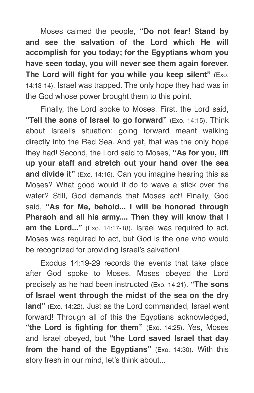Moses calmed the people, **"Do not fear! Stand by and see the salvation of the Lord which He will accomplish for you today; for the Egyptians whom you have seen today, you will never see them again forever. The Lord will fight for you while you keep silent"** (Exo. 14:13-14). Israel was trapped. The only hope they had was in the God whose power brought them to this point.

Finally, the Lord spoke to Moses. First, the Lord said, **"Tell the sons of Israel to go forward"** (Exo. 14:15). Think about Israel's situation: going forward meant walking directly into the Red Sea. And yet, that was the only hope they had! Second, the Lord said to Moses, **"As for you, lift up your staff and stretch out your hand over the sea and divide it"** (Exo. 14:16). Can you imagine hearing this as Moses? What good would it do to wave a stick over the water? Still, God demands that Moses act! Finally, God said, **"As for Me, behold... I will be honored through Pharaoh and all his army.... Then they will know that I am the Lord..."** (Exo. 14:17-18). Israel was required to act, Moses was required to act, but God is the one who would be recognized for providing Israel's salvation!

Exodus 14:19-29 records the events that take place after God spoke to Moses. Moses obeyed the Lord precisely as he had been instructed (Exo. 14:21). **"The sons of Israel went through the midst of the sea on the dry land"** (Exo. 14:22). Just as the Lord commanded, Israel went forward! Through all of this the Egyptians acknowledged, **"the Lord is fighting for them"** (Exo. 14:25). Yes, Moses and Israel obeyed, but **"the Lord saved Israel that day from the hand of the Egyptians"** (Exo. 14:30). With this story fresh in our mind, let's think about...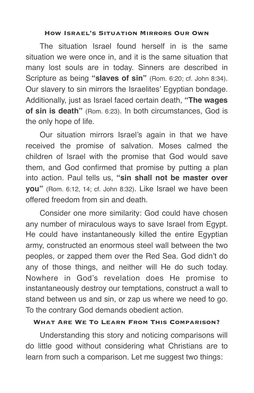#### **How Israel's Situation Mirrors Our Own**

The situation Israel found herself in is the same situation we were once in, and it is the same situation that many lost souls are in today. Sinners are described in Scripture as being **"slaves of sin"** (Rom. 6:20; cf. John 8:34). Our slavery to sin mirrors the Israelites' Egyptian bondage. Additionally, just as Israel faced certain death, **"The wages of sin is death"** (Rom. 6:23). In both circumstances, God is the only hope of life.

Our situation mirrors Israel's again in that we have received the promise of salvation. Moses calmed the children of Israel with the promise that God would save them, and God confirmed that promise by putting a plan into action. Paul tells us, **"sin shall not be master over you"** (Rom. 6:12, 14; cf. John 8:32). Like Israel we have been offered freedom from sin and death.

Consider one more similarity: God could have chosen any number of miraculous ways to save Israel from Egypt. He could have instantaneously killed the entire Egyptian army, constructed an enormous steel wall between the two peoples, or zapped them over the Red Sea. God didn't do any of those things, and neither will He do such today. Nowhere in God's revelation does He promise to instantaneously destroy our temptations, construct a wall to stand between us and sin, or zap us where we need to go. To the contrary God demands obedient action.

## **What Are We To Learn From This Comparison?**

Understanding this story and noticing comparisons will do little good without considering what Christians are to learn from such a comparison. Let me suggest two things: